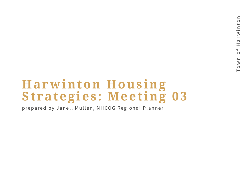# **Harwinton Housing Strategies : Meet ing 03**

prepared by Janell Mullen, NHCOG Regional Planner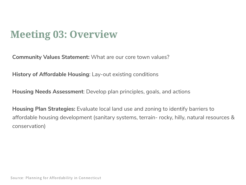## **Meeting 03: Overview**

**Community Values Statement:** What are our core town values?

**History of Affordable Housing**: Lay-out existing conditions

**Housing Needs Assessment**: Develop plan principles, goals, and actions

**Housing Plan Strategies:** Evaluate local land use and zoning to identify barriers to affordable housing development (sanitary systems, terrain- rocky, hilly, natural resources & conservation)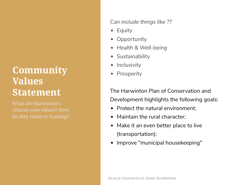#### **Community Values Statement**

What are Harwinton's citizens core values? How *Can include things like ??*

- *Equity*
- *Opportunity*
- *Health & Well-being*
- *Sustainability*
- *Inclusivity*  $\bullet$
- *Prosperity*

The Harwinton Plan of Conservation and Development highlights the following goals:

- Protect the natural environment:
- Maintain the rural character;  $\bullet$
- Make it an even better place to live (transportation);
- Improve "municipal housekeeping"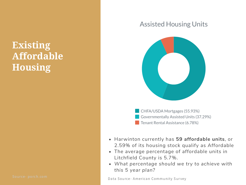## **Existing Affordable Housing**

#### Assisted Housing Units



- CHFA/USDA Mortgages (55.93%) Governmentally Assisted Units (37.29%) Tenant Rental Assistance (6.78%)
- Harwinton currently has **59 affordable units**, or 2.59% of its housing stock qualify as Affordable
- The average percentage of affordable units in Litchfield County is 5.7%.
- *What percentage should we try to achieve with this 5 year plan?*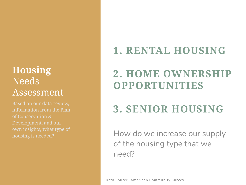## **Housing** Needs Assessment

Based on our data review, information from the Plan of Conservation &

## **1. RENTAL HOUSING**

## **2. HOME OWNERSHIP OPPORTUNITIES**

# **3. SENIOR HOUSING**

How do we increase our supply of the housing type that we need?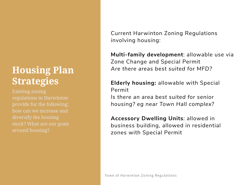## **Housing Plan Strategies**

regulations in Harwinton provide for the following; how can we increase and around housing?

Current Harwinton Zoning Regulations involving housing:

**Multi-family development**: allowable use via Zone Change and Special Permit *Are there areas best suited for MFD?*

**Elderly housing:** allowable with Special Permit

*Is there an area best suited for senior housing? eg near Town Hall complex?*

**Accessory Dwelling Units***:* allowed in business building, allowed in residential zones with Special Permit